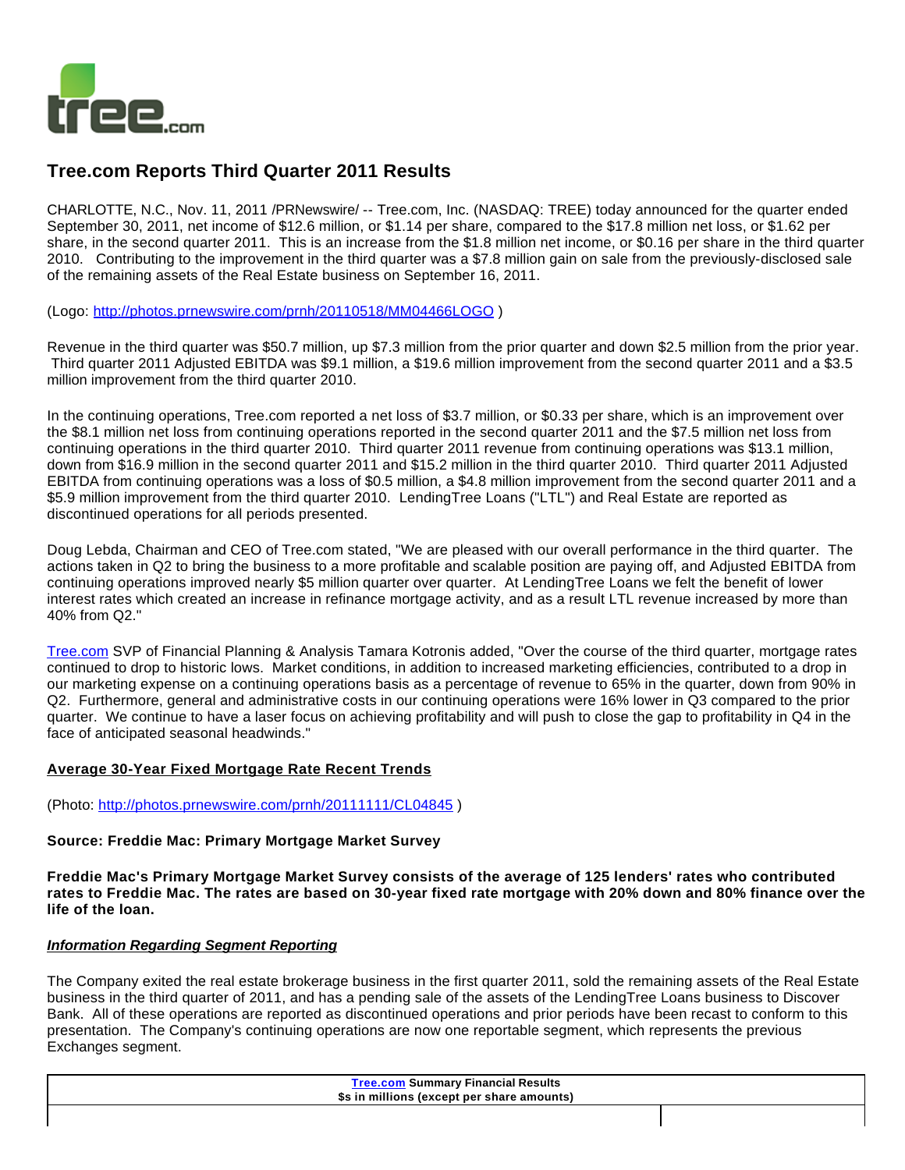

# **Tree.com Reports Third Quarter 2011 Results**

CHARLOTTE, N.C., Nov. 11, 2011 /PRNewswire/ -- Tree.com, Inc. (NASDAQ: TREE) today announced for the quarter ended September 30, 2011, net income of \$12.6 million, or \$1.14 per share, compared to the \$17.8 million net loss, or \$1.62 per share, in the second quarter 2011. This is an increase from the \$1.8 million net income, or \$0.16 per share in the third quarter 2010. Contributing to the improvement in the third quarter was a \$7.8 million gain on sale from the previously-disclosed sale of the remaining assets of the Real Estate business on September 16, 2011.

(Logo:<http://photos.prnewswire.com/prnh/20110518/MM04466LOGO> )

Revenue in the third quarter was \$50.7 million, up \$7.3 million from the prior quarter and down \$2.5 million from the prior year. Third quarter 2011 Adjusted EBITDA was \$9.1 million, a \$19.6 million improvement from the second quarter 2011 and a \$3.5 million improvement from the third quarter 2010.

In the continuing operations, Tree.com reported a net loss of \$3.7 million, or \$0.33 per share, which is an improvement over the \$8.1 million net loss from continuing operations reported in the second quarter 2011 and the \$7.5 million net loss from continuing operations in the third quarter 2010. Third quarter 2011 revenue from continuing operations was \$13.1 million, down from \$16.9 million in the second quarter 2011 and \$15.2 million in the third quarter 2010. Third quarter 2011 Adjusted EBITDA from continuing operations was a loss of \$0.5 million, a \$4.8 million improvement from the second quarter 2011 and a \$5.9 million improvement from the third quarter 2010. LendingTree Loans ("LTL") and Real Estate are reported as discontinued operations for all periods presented.

Doug Lebda, Chairman and CEO of Tree.com stated, "We are pleased with our overall performance in the third quarter. The actions taken in Q2 to bring the business to a more profitable and scalable position are paying off, and Adjusted EBITDA from continuing operations improved nearly \$5 million quarter over quarter. At LendingTree Loans we felt the benefit of lower interest rates which created an increase in refinance mortgage activity, and as a result LTL revenue increased by more than 40% from Q2."

[Tree.com](http://tree.com/) SVP of Financial Planning & Analysis Tamara Kotronis added, "Over the course of the third quarter, mortgage rates continued to drop to historic lows. Market conditions, in addition to increased marketing efficiencies, contributed to a drop in our marketing expense on a continuing operations basis as a percentage of revenue to 65% in the quarter, down from 90% in Q2. Furthermore, general and administrative costs in our continuing operations were 16% lower in Q3 compared to the prior quarter. We continue to have a laser focus on achieving profitability and will push to close the gap to profitability in Q4 in the face of anticipated seasonal headwinds."

### **Average 30-Year Fixed Mortgage Rate Recent Trends**

(Photo: <http://photos.prnewswire.com/prnh/20111111/CL04845>)

### **Source: Freddie Mac: Primary Mortgage Market Survey**

**Freddie Mac's Primary Mortgage Market Survey consists of the average of 125 lenders' rates who contributed rates to Freddie Mac. The rates are based on 30-year fixed rate mortgage with 20% down and 80% finance over the life of the loan.**

### **Information Regarding Segment Reporting**

The Company exited the real estate brokerage business in the first quarter 2011, sold the remaining assets of the Real Estate business in the third quarter of 2011, and has a pending sale of the assets of the LendingTree Loans business to Discover Bank. All of these operations are reported as discontinued operations and prior periods have been recast to conform to this presentation. The Company's continuing operations are now one reportable segment, which represents the previous Exchanges segment.

| <b>Tree.com Summary Financial Results</b><br>\$s in millions (except per share amounts) |  |  |
|-----------------------------------------------------------------------------------------|--|--|
|                                                                                         |  |  |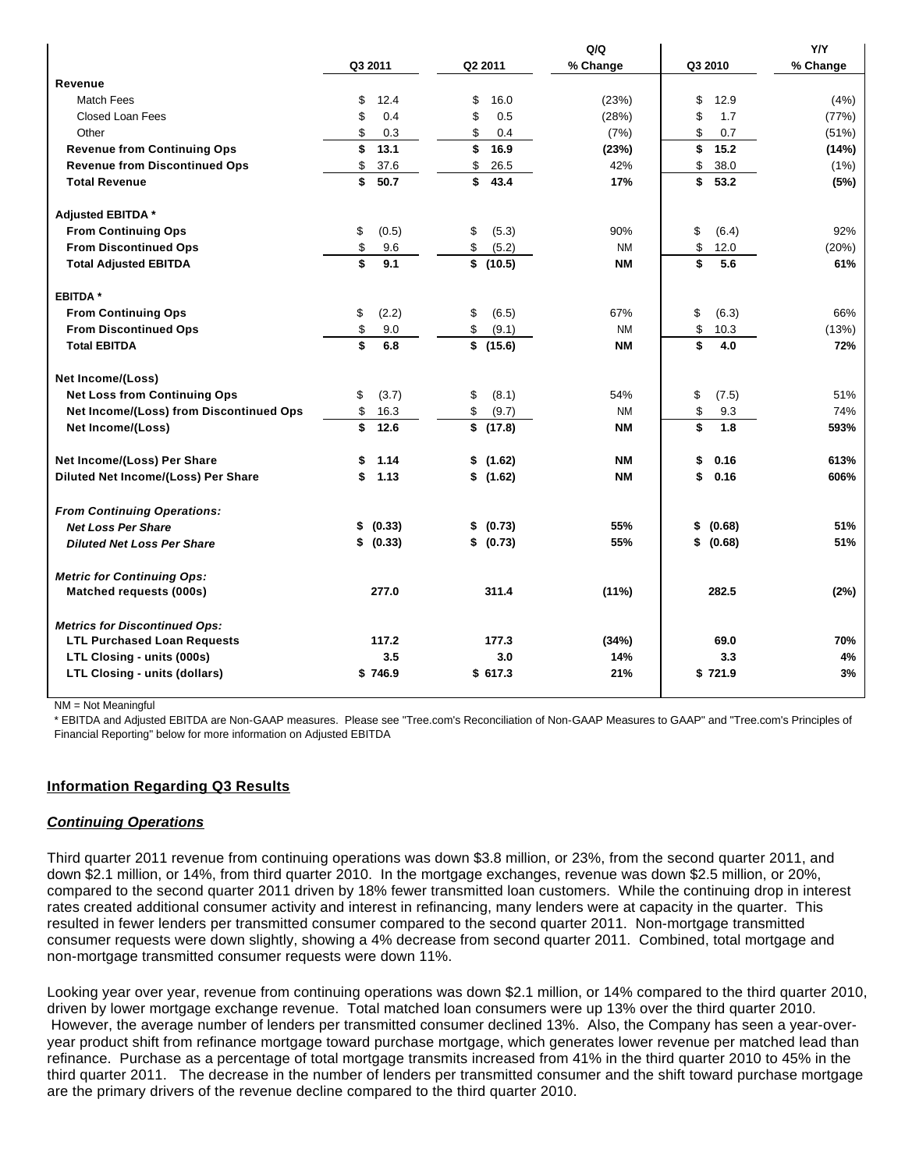|                                         |             |             | Q/Q       |              | Y/Y      |
|-----------------------------------------|-------------|-------------|-----------|--------------|----------|
|                                         | Q3 2011     | Q2 2011     | % Change  | Q3 2010      | % Change |
| Revenue                                 |             |             |           |              |          |
| Match Fees                              | \$<br>12.4  | \$<br>16.0  | (23%)     | \$<br>12.9   | (4%)     |
| Closed Loan Fees                        | \$<br>0.4   | \$<br>0.5   | (28%)     | \$<br>1.7    | (77%)    |
| Other                                   | \$<br>0.3   | \$<br>0.4   | (7%)      | \$<br>0.7    | (51%)    |
| <b>Revenue from Continuing Ops</b>      | \$<br>13.1  | \$<br>16.9  | (23%)     | \$<br>15.2   | (14%)    |
| <b>Revenue from Discontinued Ops</b>    | \$<br>37.6  | \$<br>26.5  | 42%       | \$<br>38.0   | (1%)     |
| <b>Total Revenue</b>                    | \$<br>50.7  | \$<br>43.4  | 17%       | \$<br>53.2   | (5%)     |
| Adjusted EBITDA *                       |             |             |           |              |          |
| <b>From Continuing Ops</b>              | \$<br>(0.5) | \$<br>(5.3) | 90%       | \$<br>(6.4)  | 92%      |
| <b>From Discontinued Ops</b>            | \$<br>9.6   | \$<br>(5.2) | <b>NM</b> | \$<br>12.0   | (20%)    |
| <b>Total Adjusted EBITDA</b>            | \$<br>9.1   | \$(10.5)    | <b>NM</b> | \$<br>5.6    | 61%      |
| EBITDA *                                |             |             |           |              |          |
| <b>From Continuing Ops</b>              | (2.2)<br>\$ | \$<br>(6.5) | 67%       | \$<br>(6.3)  | 66%      |
| <b>From Discontinued Ops</b>            | \$<br>9.0   | \$<br>(9.1) | <b>NM</b> | \$<br>10.3   | (13%)    |
| <b>Total EBITDA</b>                     | \$<br>6.8   | \$(15.6)    | <b>NM</b> | \$<br>4.0    | 72%      |
| Net Income/(Loss)                       |             |             |           |              |          |
| <b>Net Loss from Continuing Ops</b>     | (3.7)<br>\$ | \$<br>(8.1) | 54%       | \$<br>(7.5)  | 51%      |
| Net Income/(Loss) from Discontinued Ops | \$<br>16.3  | \$<br>(9.7) | <b>NM</b> | \$<br>9.3    | 74%      |
| Net Income/(Loss)                       | \$<br>12.6  | \$(17.8)    | <b>NM</b> | \$<br>1.8    | 593%     |
| Net Income/(Loss) Per Share             | \$<br>1.14  | \$(1.62)    | <b>NM</b> | \$<br>0.16   | 613%     |
| Diluted Net Income/(Loss) Per Share     | 1.13<br>\$  | \$(1.62)    | <b>NM</b> | 0.16<br>\$   | 606%     |
| <b>From Continuing Operations:</b>      |             |             |           |              |          |
| <b>Net Loss Per Share</b>               | \$ (0.33)   | \$ (0.73)   | 55%       | \$<br>(0.68) | 51%      |
| <b>Diluted Net Loss Per Share</b>       | \$ (0.33)   | \$ (0.73)   | 55%       | \$<br>(0.68) | 51%      |
| <b>Metric for Continuing Ops:</b>       |             |             |           |              |          |
| Matched requests (000s)                 | 277.0       | 311.4       | (11%)     | 282.5        | (2%)     |
| <b>Metrics for Discontinued Ops:</b>    |             |             |           |              |          |
| <b>LTL Purchased Loan Requests</b>      | 117.2       | 177.3       | (34%)     | 69.0         | 70%      |
| LTL Closing - units (000s)              | 3.5         | 3.0         | 14%       | 3.3          | 4%       |
| <b>LTL Closing - units (dollars)</b>    | \$746.9     | \$617.3     | 21%       | \$721.9      | 3%       |
|                                         |             |             |           |              |          |

NM = Not Meaningful

\* EBITDA and Adjusted EBITDA are Non-GAAP measures. Please see "Tree.com's Reconciliation of Non-GAAP Measures to GAAP" and "Tree.com's Principles of Financial Reporting" below for more information on Adjusted EBITDA

### **Information Regarding Q3 Results**

### **Continuing Operations**

Third quarter 2011 revenue from continuing operations was down \$3.8 million, or 23%, from the second quarter 2011, and down \$2.1 million, or 14%, from third quarter 2010. In the mortgage exchanges, revenue was down \$2.5 million, or 20%, compared to the second quarter 2011 driven by 18% fewer transmitted loan customers. While the continuing drop in interest rates created additional consumer activity and interest in refinancing, many lenders were at capacity in the quarter. This resulted in fewer lenders per transmitted consumer compared to the second quarter 2011. Non-mortgage transmitted consumer requests were down slightly, showing a 4% decrease from second quarter 2011. Combined, total mortgage and non-mortgage transmitted consumer requests were down 11%.

Looking year over year, revenue from continuing operations was down \$2.1 million, or 14% compared to the third quarter 2010, driven by lower mortgage exchange revenue. Total matched loan consumers were up 13% over the third quarter 2010. However, the average number of lenders per transmitted consumer declined 13%. Also, the Company has seen a year-overyear product shift from refinance mortgage toward purchase mortgage, which generates lower revenue per matched lead than refinance. Purchase as a percentage of total mortgage transmits increased from 41% in the third quarter 2010 to 45% in the third quarter 2011. The decrease in the number of lenders per transmitted consumer and the shift toward purchase mortgage are the primary drivers of the revenue decline compared to the third quarter 2010.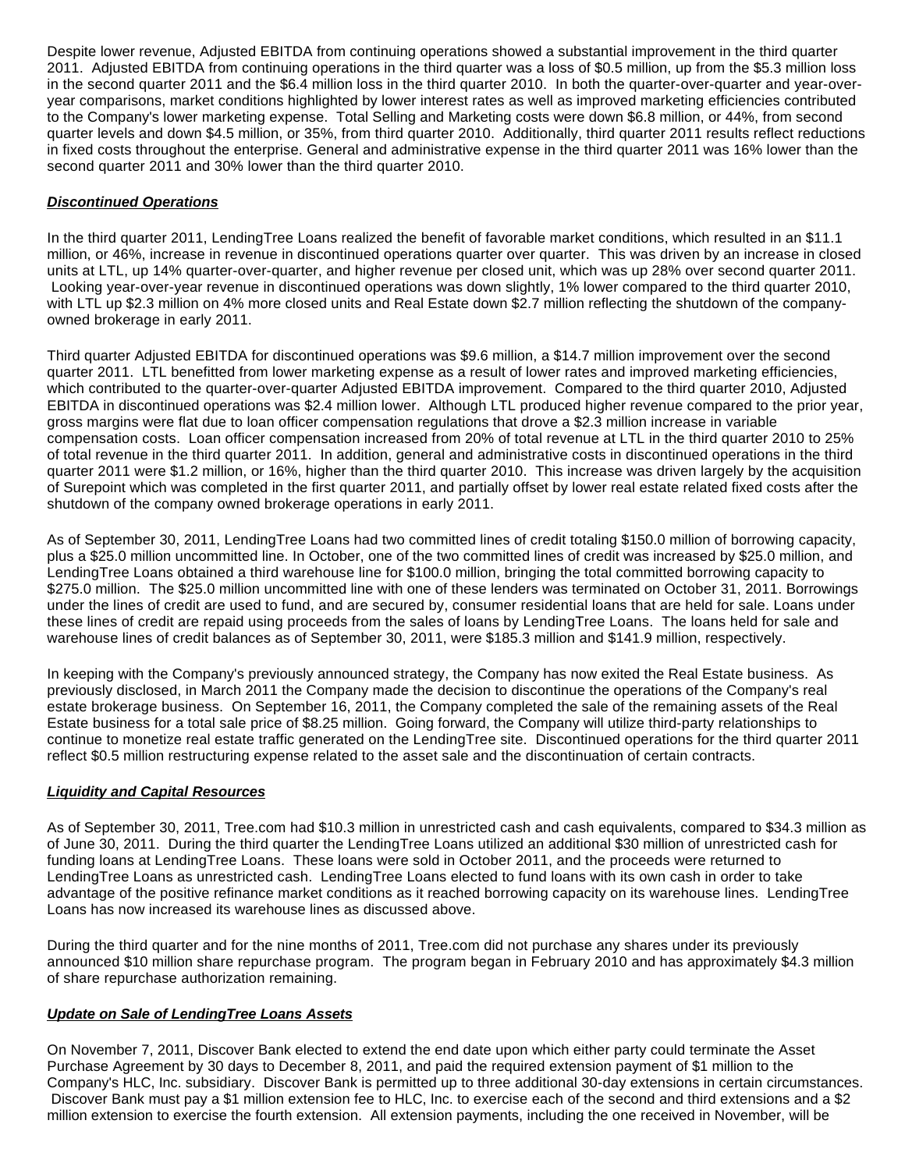Despite lower revenue, Adjusted EBITDA from continuing operations showed a substantial improvement in the third quarter 2011. Adjusted EBITDA from continuing operations in the third quarter was a loss of \$0.5 million, up from the \$5.3 million loss in the second quarter 2011 and the \$6.4 million loss in the third quarter 2010. In both the quarter-over-quarter and year-overyear comparisons, market conditions highlighted by lower interest rates as well as improved marketing efficiencies contributed to the Company's lower marketing expense. Total Selling and Marketing costs were down \$6.8 million, or 44%, from second quarter levels and down \$4.5 million, or 35%, from third quarter 2010. Additionally, third quarter 2011 results reflect reductions in fixed costs throughout the enterprise. General and administrative expense in the third quarter 2011 was 16% lower than the second quarter 2011 and 30% lower than the third quarter 2010.

# **Discontinued Operations**

In the third quarter 2011, LendingTree Loans realized the benefit of favorable market conditions, which resulted in an \$11.1 million, or 46%, increase in revenue in discontinued operations quarter over quarter. This was driven by an increase in closed units at LTL, up 14% quarter-over-quarter, and higher revenue per closed unit, which was up 28% over second quarter 2011. Looking year-over-year revenue in discontinued operations was down slightly, 1% lower compared to the third quarter 2010, with LTL up \$2.3 million on 4% more closed units and Real Estate down \$2.7 million reflecting the shutdown of the companyowned brokerage in early 2011.

Third quarter Adjusted EBITDA for discontinued operations was \$9.6 million, a \$14.7 million improvement over the second quarter 2011. LTL benefitted from lower marketing expense as a result of lower rates and improved marketing efficiencies, which contributed to the quarter-over-quarter Adjusted EBITDA improvement. Compared to the third quarter 2010, Adjusted EBITDA in discontinued operations was \$2.4 million lower. Although LTL produced higher revenue compared to the prior year, gross margins were flat due to loan officer compensation regulations that drove a \$2.3 million increase in variable compensation costs. Loan officer compensation increased from 20% of total revenue at LTL in the third quarter 2010 to 25% of total revenue in the third quarter 2011. In addition, general and administrative costs in discontinued operations in the third quarter 2011 were \$1.2 million, or 16%, higher than the third quarter 2010. This increase was driven largely by the acquisition of Surepoint which was completed in the first quarter 2011, and partially offset by lower real estate related fixed costs after the shutdown of the company owned brokerage operations in early 2011.

As of September 30, 2011, LendingTree Loans had two committed lines of credit totaling \$150.0 million of borrowing capacity, plus a \$25.0 million uncommitted line. In October, one of the two committed lines of credit was increased by \$25.0 million, and LendingTree Loans obtained a third warehouse line for \$100.0 million, bringing the total committed borrowing capacity to \$275.0 million. The \$25.0 million uncommitted line with one of these lenders was terminated on October 31, 2011. Borrowings under the lines of credit are used to fund, and are secured by, consumer residential loans that are held for sale. Loans under these lines of credit are repaid using proceeds from the sales of loans by LendingTree Loans. The loans held for sale and warehouse lines of credit balances as of September 30, 2011, were \$185.3 million and \$141.9 million, respectively.

In keeping with the Company's previously announced strategy, the Company has now exited the Real Estate business. As previously disclosed, in March 2011 the Company made the decision to discontinue the operations of the Company's real estate brokerage business. On September 16, 2011, the Company completed the sale of the remaining assets of the Real Estate business for a total sale price of \$8.25 million. Going forward, the Company will utilize third-party relationships to continue to monetize real estate traffic generated on the LendingTree site. Discontinued operations for the third quarter 2011 reflect \$0.5 million restructuring expense related to the asset sale and the discontinuation of certain contracts.

### **Liquidity and Capital Resources**

As of September 30, 2011, Tree.com had \$10.3 million in unrestricted cash and cash equivalents, compared to \$34.3 million as of June 30, 2011. During the third quarter the LendingTree Loans utilized an additional \$30 million of unrestricted cash for funding loans at LendingTree Loans. These loans were sold in October 2011, and the proceeds were returned to LendingTree Loans as unrestricted cash. LendingTree Loans elected to fund loans with its own cash in order to take advantage of the positive refinance market conditions as it reached borrowing capacity on its warehouse lines. LendingTree Loans has now increased its warehouse lines as discussed above.

During the third quarter and for the nine months of 2011, Tree.com did not purchase any shares under its previously announced \$10 million share repurchase program. The program began in February 2010 and has approximately \$4.3 million of share repurchase authorization remaining.

### **Update on Sale of LendingTree Loans Assets**

On November 7, 2011, Discover Bank elected to extend the end date upon which either party could terminate the Asset Purchase Agreement by 30 days to December 8, 2011, and paid the required extension payment of \$1 million to the Company's HLC, Inc. subsidiary. Discover Bank is permitted up to three additional 30-day extensions in certain circumstances. Discover Bank must pay a \$1 million extension fee to HLC, Inc. to exercise each of the second and third extensions and a \$2 million extension to exercise the fourth extension. All extension payments, including the one received in November, will be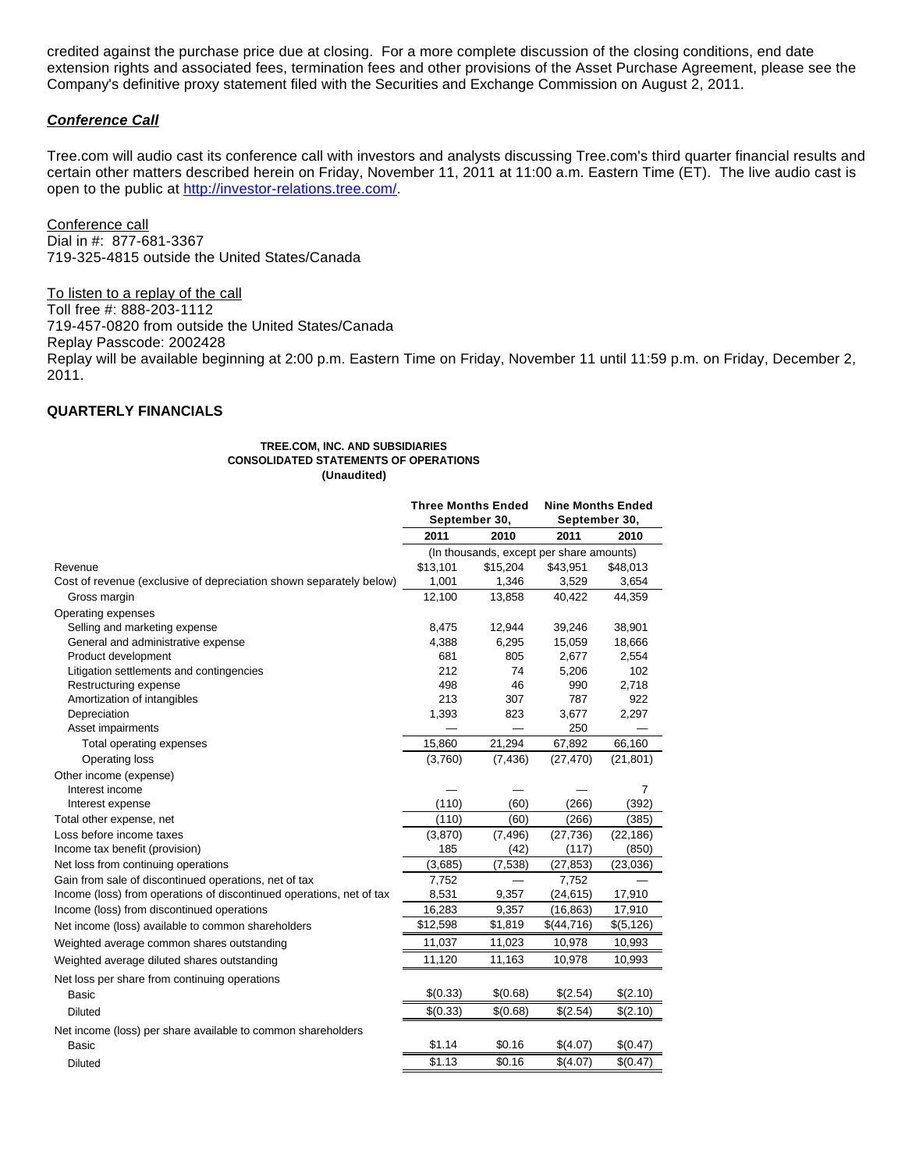credited against the purchase price due at closing. For a more complete discussion of the closing conditions, end date extension rights and associated fees, termination fees and other provisions of the Asset Purchase Agreement, please see the Company's definitive proxy statement filed with the Securities and Exchange Commission on August 2, 2011.

### **Conference Call**

Tree.com will audio cast its conference call with investors and analysts discussing Tree.com's third quarter financial results and certain other matters described herein on Friday, November 11, 2011 at 11:00 a.m. Eastern Time (ET). The live audio cast is open to the public at [http://investor-relations.tree.com/.](http://investor-relations.tree.com/)

Conference call Dial in #: 877-681-3367 719-325-4815 outside the United States/Canada

To listen to a replay of the call Toll free #: 888-203-1112 719-457-0820 from outside the United States/Canada Replay Passcode: 2002428 Replay will be available beginning at 2:00 p.m. Eastern Time on Friday, November 11 until 11:59 p.m. on Friday, December 2, 2011.

### **QUARTERLY FINANCIALS**

#### **TREE.COM, INC. AND SUBSIDIARIES CONSOLIDATED STATEMENTS OF OPERATIONS (Unaudited)**

|                                                                      | <b>Three Months Ended</b><br>September 30, |                          | <b>Nine Months Ended</b><br>September 30, |            |
|----------------------------------------------------------------------|--------------------------------------------|--------------------------|-------------------------------------------|------------|
|                                                                      | 2011                                       | 2010                     | 2011                                      | 2010       |
|                                                                      | (In thousands, except per share amounts)   |                          |                                           |            |
| Revenue                                                              | \$13,101                                   | \$15,204                 | \$43,951                                  | \$48,013   |
| Cost of revenue (exclusive of depreciation shown separately below)   | 1,001                                      | 1,346                    | 3,529                                     | 3,654      |
| Gross margin                                                         | 12,100                                     | 13,858                   | 40,422                                    | 44,359     |
| Operating expenses                                                   |                                            |                          |                                           |            |
| Selling and marketing expense                                        | 8,475                                      | 12,944                   | 39,246                                    | 38,901     |
| General and administrative expense                                   | 4,388                                      | 6,295                    | 15,059                                    | 18,666     |
| Product development                                                  | 681                                        | 805                      | 2,677                                     | 2,554      |
| Litigation settlements and contingencies                             | 212                                        | 74                       | 5,206                                     | 102        |
| Restructuring expense                                                | 498                                        | 46                       | 990                                       | 2,718      |
| Amortization of intangibles                                          | 213                                        | 307                      | 787                                       | 922        |
| Depreciation                                                         | 1,393                                      | 823                      | 3,677                                     | 2,297      |
| Asset impairments                                                    |                                            |                          | 250                                       |            |
| Total operating expenses                                             | 15,860                                     | 21,294                   | 67,892                                    | 66,160     |
| Operating loss                                                       | (3,760)                                    | (7, 436)                 | (27, 470)                                 | (21, 801)  |
| Other income (expense)                                               |                                            |                          |                                           |            |
| Interest income                                                      |                                            |                          |                                           | 7          |
| Interest expense                                                     | (110)                                      | (60)                     | (266)                                     | (392)      |
| Total other expense, net                                             | (110)                                      | (60)                     | (266)                                     | (385)      |
| Loss before income taxes                                             | (3,870)                                    | (7, 496)                 | (27, 736)                                 | (22, 186)  |
| Income tax benefit (provision)                                       | 185                                        | (42)                     | (117)                                     | (850)      |
| Net loss from continuing operations                                  | (3,685)                                    | (7, 538)                 | (27, 853)                                 | (23,036)   |
| Gain from sale of discontinued operations, net of tax                | 7,752                                      | $\overline{\phantom{0}}$ | 7,752                                     |            |
| Income (loss) from operations of discontinued operations, net of tax | 8,531                                      | 9,357                    | (24, 615)                                 | 17,910     |
| Income (loss) from discontinued operations                           | 16,283                                     | 9,357                    | (16, 863)                                 | 17,910     |
| Net income (loss) available to common shareholders                   | \$12,598                                   | \$1,819                  | \$(44,716)                                | \$(5, 126) |
| Weighted average common shares outstanding                           | 11,037                                     | 11,023                   | 10,978                                    | 10,993     |
| Weighted average diluted shares outstanding                          | 11,120                                     | 11,163                   | 10,978                                    | 10,993     |
| Net loss per share from continuing operations                        |                                            |                          |                                           |            |
| <b>Basic</b>                                                         | \$(0.33)                                   | \$(0.68)                 | \$(2.54)                                  | \$(2.10)   |
| Diluted                                                              | \$(0.33)                                   | \$(0.68)                 | \$(2.54)                                  | \$(2.10)   |
| Net income (loss) per share available to common shareholders         |                                            |                          |                                           |            |
| <b>Basic</b>                                                         | \$1.14                                     | \$0.16                   | \$(4.07)                                  | \$(0.47)   |
| <b>Diluted</b>                                                       | \$1.13                                     | \$0.16                   | \$(4.07)                                  | \$(0.47)   |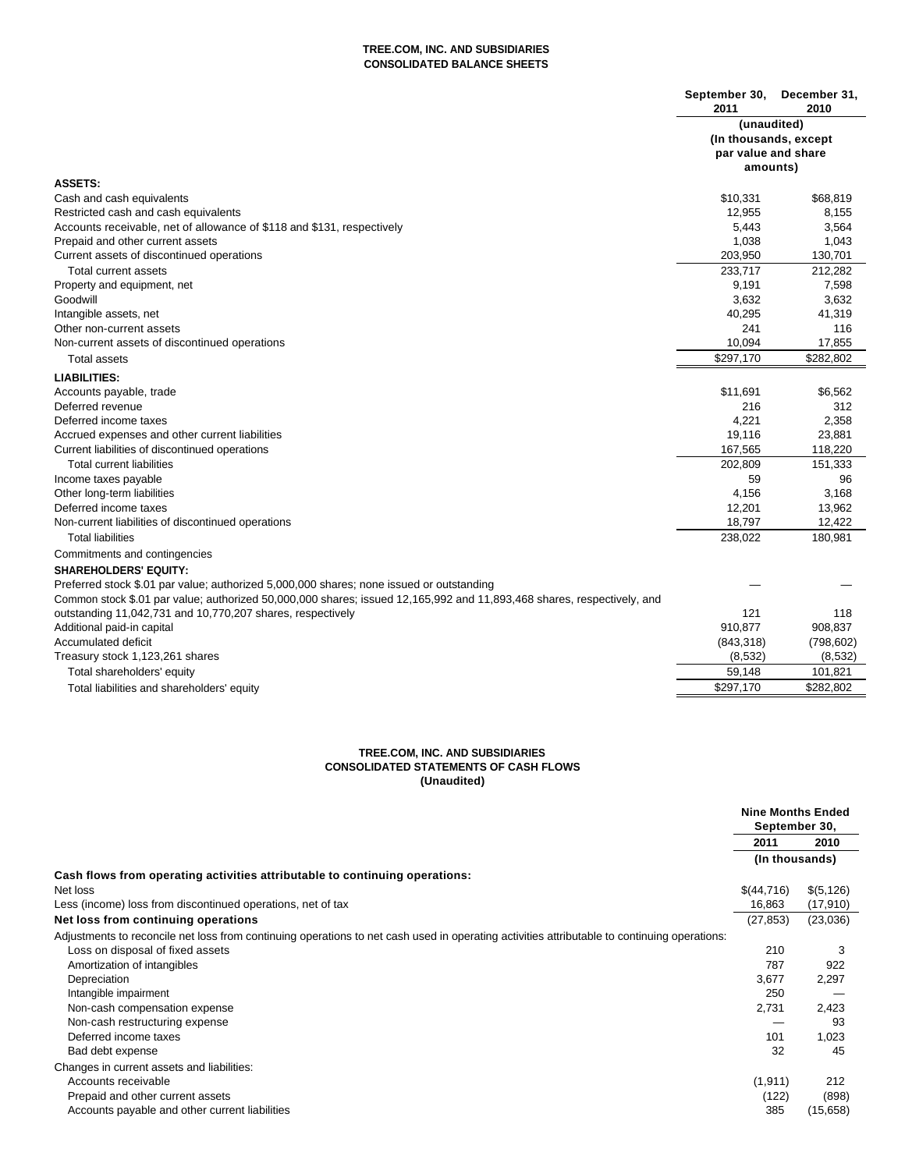### **TREE.COM, INC. AND SUBSIDIARIES CONSOLIDATED BALANCE SHEETS**

|                                                                                                                        | September 30,<br>2011                                    | December 31,<br>2010 |
|------------------------------------------------------------------------------------------------------------------------|----------------------------------------------------------|----------------------|
|                                                                                                                        | (unaudited)                                              |                      |
|                                                                                                                        | (In thousands, except<br>par value and share<br>amounts) |                      |
|                                                                                                                        |                                                          |                      |
|                                                                                                                        |                                                          |                      |
| <b>ASSETS:</b>                                                                                                         |                                                          |                      |
| Cash and cash equivalents                                                                                              | \$10,331                                                 | \$68,819             |
| Restricted cash and cash equivalents                                                                                   | 12,955                                                   | 8,155                |
| Accounts receivable, net of allowance of \$118 and \$131, respectively                                                 | 5,443                                                    | 3,564                |
| Prepaid and other current assets                                                                                       | 1,038                                                    | 1,043                |
| Current assets of discontinued operations                                                                              | 203,950                                                  | 130,701              |
| Total current assets                                                                                                   | 233,717                                                  | 212,282              |
| Property and equipment, net                                                                                            | 9,191                                                    | 7,598                |
| Goodwill                                                                                                               | 3,632                                                    | 3,632                |
| Intangible assets, net                                                                                                 | 40,295                                                   | 41,319               |
| Other non-current assets                                                                                               | 241                                                      | 116                  |
| Non-current assets of discontinued operations                                                                          | 10,094                                                   | 17,855               |
| Total assets                                                                                                           | \$297,170                                                | \$282,802            |
| <b>LIABILITIES:</b>                                                                                                    |                                                          |                      |
| Accounts payable, trade                                                                                                | \$11,691                                                 | \$6,562              |
| Deferred revenue                                                                                                       | 216                                                      | 312                  |
| Deferred income taxes                                                                                                  | 4,221                                                    | 2,358                |
| Accrued expenses and other current liabilities                                                                         | 19,116                                                   | 23,881               |
| Current liabilities of discontinued operations                                                                         | 167,565                                                  | 118,220              |
| <b>Total current liabilities</b>                                                                                       | 202,809                                                  | 151,333              |
| Income taxes payable                                                                                                   | 59                                                       | 96                   |
| Other long-term liabilities                                                                                            | 4,156                                                    | 3,168                |
| Deferred income taxes                                                                                                  | 12,201                                                   | 13,962               |
| Non-current liabilities of discontinued operations                                                                     | 18,797                                                   | 12,422               |
| <b>Total liabilities</b>                                                                                               | 238,022                                                  | 180,981              |
| Commitments and contingencies                                                                                          |                                                          |                      |
| <b>SHAREHOLDERS' EQUITY:</b>                                                                                           |                                                          |                      |
| Preferred stock \$.01 par value; authorized 5,000,000 shares; none issued or outstanding                               |                                                          |                      |
| Common stock \$.01 par value; authorized 50,000,000 shares; issued 12,165,992 and 11,893,468 shares, respectively, and |                                                          |                      |
| outstanding 11,042,731 and 10,770,207 shares, respectively                                                             | 121                                                      | 118                  |
| Additional paid-in capital                                                                                             | 910,877                                                  | 908,837              |
| <b>Accumulated deficit</b>                                                                                             | (843, 318)                                               | (798, 602)           |
| Treasury stock 1,123,261 shares                                                                                        | (8,532)                                                  | (8,532)              |
| Total shareholders' equity                                                                                             | 59,148                                                   | 101,821              |
| Total liabilities and shareholders' equity                                                                             | \$297,170                                                | \$282,802            |

### **TREE.COM, INC. AND SUBSIDIARIES CONSOLIDATED STATEMENTS OF CASH FLOWS (Unaudited)**

|                                                                                                                                              | <b>Nine Months Ended</b><br>September 30, |            |
|----------------------------------------------------------------------------------------------------------------------------------------------|-------------------------------------------|------------|
|                                                                                                                                              | 2011                                      | 2010       |
|                                                                                                                                              | (In thousands)                            |            |
| Cash flows from operating activities attributable to continuing operations:                                                                  |                                           |            |
| Net loss                                                                                                                                     | \$(44,716)                                | \$(5, 126) |
| Less (income) loss from discontinued operations, net of tax                                                                                  | 16,863                                    | (17,910)   |
| Net loss from continuing operations                                                                                                          | (27, 853)                                 | (23,036)   |
| Adjustments to reconcile net loss from continuing operations to net cash used in operating activities attributable to continuing operations: |                                           |            |
| Loss on disposal of fixed assets                                                                                                             | 210                                       | 3          |
| Amortization of intangibles                                                                                                                  | 787                                       | 922        |
| Depreciation                                                                                                                                 | 3,677                                     | 2,297      |
| Intangible impairment                                                                                                                        | 250                                       |            |
| Non-cash compensation expense                                                                                                                | 2,731                                     | 2,423      |
| Non-cash restructuring expense                                                                                                               |                                           | 93         |
| Deferred income taxes                                                                                                                        | 101                                       | 1,023      |
| Bad debt expense                                                                                                                             | 32                                        | 45         |
| Changes in current assets and liabilities:                                                                                                   |                                           |            |
| Accounts receivable                                                                                                                          | (1, 911)                                  | 212        |
| Prepaid and other current assets                                                                                                             | (122)                                     | (898)      |
| Accounts payable and other current liabilities                                                                                               | 385                                       | (15, 658)  |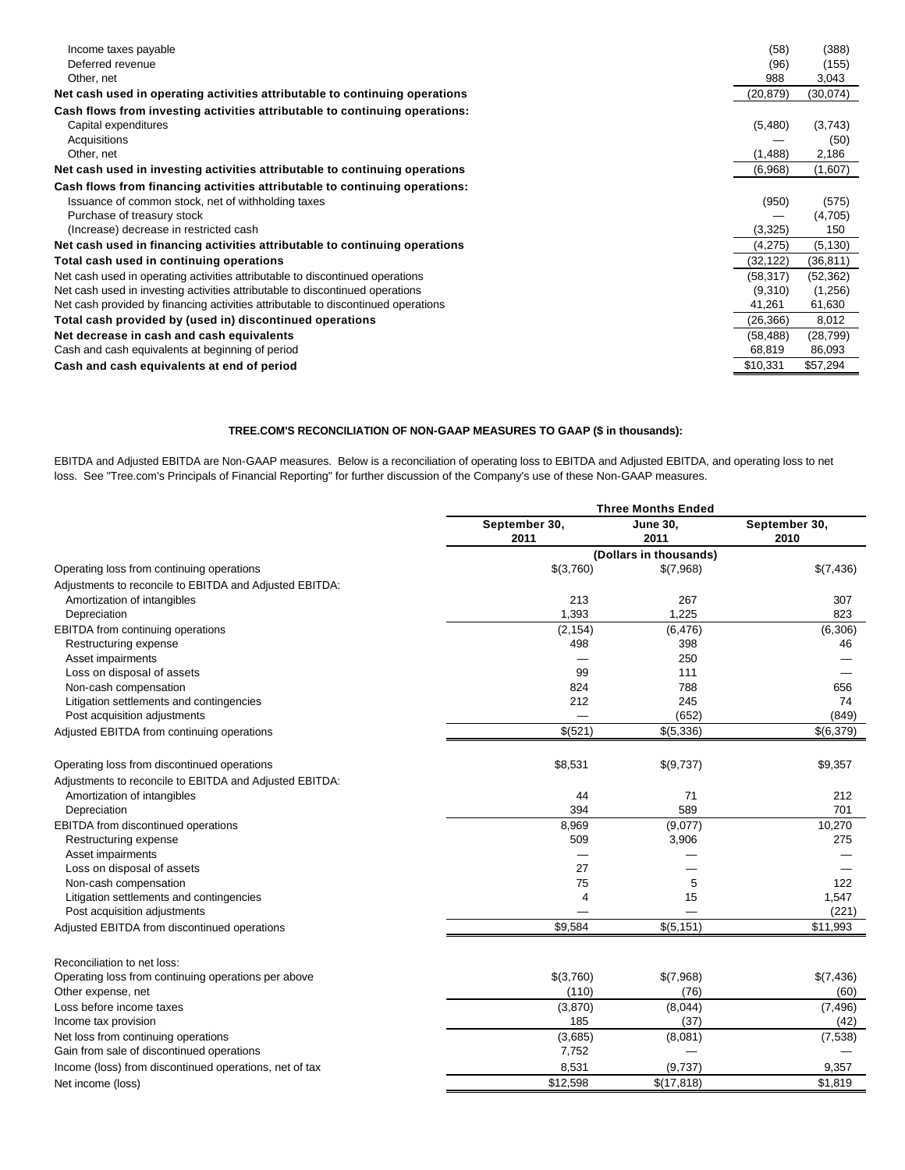| Income taxes payable<br>Deferred revenue                                          | (58)<br>(96) | (388)<br>(155) |
|-----------------------------------------------------------------------------------|--------------|----------------|
| Other, net                                                                        | 988          | 3,043          |
| Net cash used in operating activities attributable to continuing operations       | (20, 879)    | (30,074)       |
| Cash flows from investing activities attributable to continuing operations:       |              |                |
| Capital expenditures                                                              | (5,480)      | (3,743)        |
| Acquisitions                                                                      |              | (50)           |
| Other, net                                                                        | (1,488)      | 2,186          |
| Net cash used in investing activities attributable to continuing operations       | (6,968)      | (1,607)        |
| Cash flows from financing activities attributable to continuing operations:       |              |                |
| Issuance of common stock, net of withholding taxes                                | (950)        | (575)          |
| Purchase of treasury stock                                                        |              | (4,705)        |
| (Increase) decrease in restricted cash                                            | (3,325)      | 150            |
| Net cash used in financing activities attributable to continuing operations       | (4,275)      | (5, 130)       |
| Total cash used in continuing operations                                          | (32,122)     | (36, 811)      |
| Net cash used in operating activities attributable to discontinued operations     | (58, 317)    | (52, 362)      |
| Net cash used in investing activities attributable to discontinued operations     | (9,310)      | (1,256)        |
| Net cash provided by financing activities attributable to discontinued operations | 41,261       | 61,630         |
| Total cash provided by (used in) discontinued operations                          | (26, 366)    | 8,012          |
| Net decrease in cash and cash equivalents                                         | (58, 488)    | (28, 799)      |
| Cash and cash equivalents at beginning of period                                  | 68,819       | 86,093         |
| Cash and cash equivalents at end of period                                        | \$10,331     | \$57,294       |

### **TREE.COM'S RECONCILIATION OF NON-GAAP MEASURES TO GAAP (\$ in thousands):**

EBITDA and Adjusted EBITDA are Non-GAAP measures. Below is a reconciliation of operating loss to EBITDA and Adjusted EBITDA, and operating loss to net loss. See "Tree.com's Principals of Financial Reporting" for further discussion of the Company's use of these Non-GAAP measures.

| September 30,<br>September 30,<br><b>June 30,</b><br>2011<br>2011<br>2010<br>(Dollars in thousands)<br>Operating loss from continuing operations<br>\$(3,760)<br>\$(7,968)<br>\$(7,436)<br>Adjustments to reconcile to EBITDA and Adjusted EBITDA:<br>213<br>Amortization of intangibles<br>267<br>307<br>1,393<br>1,225<br>823<br>Depreciation<br>EBITDA from continuing operations<br>(2, 154)<br>(6, 476)<br>(6,306)<br>498<br>Restructuring expense<br>398<br>46<br>Asset impairments<br>250<br>Loss on disposal of assets<br>99<br>111<br>788<br>Non-cash compensation<br>824<br>656<br>Litigation settlements and contingencies<br>212<br>245<br>74<br>Post acquisition adjustments<br>(652)<br>(849)<br>\$(521)<br>\$(5,336)<br>\$(6,379)<br>Adjusted EBITDA from continuing operations<br>\$9,357<br>Operating loss from discontinued operations<br>\$8,531<br>\$(9,737)<br>Adjustments to reconcile to EBITDA and Adjusted EBITDA:<br>Amortization of intangibles<br>212<br>44<br>71<br>589<br>Depreciation<br>394<br>701<br>8,969<br>(9,077)<br>10,270<br>EBITDA from discontinued operations<br>509<br>3,906<br>275<br>Restructuring expense<br>Asset impairments<br>Loss on disposal of assets<br>27<br>Non-cash compensation<br>75<br>5<br>122<br>15<br>Litigation settlements and contingencies<br>$\overline{4}$<br>1,547<br>Post acquisition adjustments<br>(221)<br>\$9.584<br>\$(5, 151)<br>\$11,993<br>Adjusted EBITDA from discontinued operations<br>Reconciliation to net loss:<br>\$(7,436)<br>Operating loss from continuing operations per above<br>\$(3,760)<br>\$(7,968)<br>Other expense, net<br>(110)<br>(76)<br>(60)<br>Loss before income taxes<br>(8,044)<br>(3,870)<br>(7, 496)<br>Income tax provision<br>185<br>(37)<br>(42)<br>Net loss from continuing operations<br>(3,685)<br>(8,081)<br>(7, 538)<br>Gain from sale of discontinued operations<br>7,752<br>8,531<br>(9,737)<br>Income (loss) from discontinued operations, net of tax<br>9,357<br>\$12,598 |                   | <b>Three Months Ended</b> |            |         |  |  |
|---------------------------------------------------------------------------------------------------------------------------------------------------------------------------------------------------------------------------------------------------------------------------------------------------------------------------------------------------------------------------------------------------------------------------------------------------------------------------------------------------------------------------------------------------------------------------------------------------------------------------------------------------------------------------------------------------------------------------------------------------------------------------------------------------------------------------------------------------------------------------------------------------------------------------------------------------------------------------------------------------------------------------------------------------------------------------------------------------------------------------------------------------------------------------------------------------------------------------------------------------------------------------------------------------------------------------------------------------------------------------------------------------------------------------------------------------------------------------------------------------------------------------------------------------------------------------------------------------------------------------------------------------------------------------------------------------------------------------------------------------------------------------------------------------------------------------------------------------------------------------------------------------------------------------------------------------------------------------------------------------|-------------------|---------------------------|------------|---------|--|--|
|                                                                                                                                                                                                                                                                                                                                                                                                                                                                                                                                                                                                                                                                                                                                                                                                                                                                                                                                                                                                                                                                                                                                                                                                                                                                                                                                                                                                                                                                                                                                                                                                                                                                                                                                                                                                                                                                                                                                                                                                   |                   |                           |            |         |  |  |
|                                                                                                                                                                                                                                                                                                                                                                                                                                                                                                                                                                                                                                                                                                                                                                                                                                                                                                                                                                                                                                                                                                                                                                                                                                                                                                                                                                                                                                                                                                                                                                                                                                                                                                                                                                                                                                                                                                                                                                                                   |                   |                           |            |         |  |  |
|                                                                                                                                                                                                                                                                                                                                                                                                                                                                                                                                                                                                                                                                                                                                                                                                                                                                                                                                                                                                                                                                                                                                                                                                                                                                                                                                                                                                                                                                                                                                                                                                                                                                                                                                                                                                                                                                                                                                                                                                   |                   |                           |            |         |  |  |
|                                                                                                                                                                                                                                                                                                                                                                                                                                                                                                                                                                                                                                                                                                                                                                                                                                                                                                                                                                                                                                                                                                                                                                                                                                                                                                                                                                                                                                                                                                                                                                                                                                                                                                                                                                                                                                                                                                                                                                                                   |                   |                           |            |         |  |  |
|                                                                                                                                                                                                                                                                                                                                                                                                                                                                                                                                                                                                                                                                                                                                                                                                                                                                                                                                                                                                                                                                                                                                                                                                                                                                                                                                                                                                                                                                                                                                                                                                                                                                                                                                                                                                                                                                                                                                                                                                   |                   |                           |            |         |  |  |
|                                                                                                                                                                                                                                                                                                                                                                                                                                                                                                                                                                                                                                                                                                                                                                                                                                                                                                                                                                                                                                                                                                                                                                                                                                                                                                                                                                                                                                                                                                                                                                                                                                                                                                                                                                                                                                                                                                                                                                                                   |                   |                           |            |         |  |  |
|                                                                                                                                                                                                                                                                                                                                                                                                                                                                                                                                                                                                                                                                                                                                                                                                                                                                                                                                                                                                                                                                                                                                                                                                                                                                                                                                                                                                                                                                                                                                                                                                                                                                                                                                                                                                                                                                                                                                                                                                   |                   |                           |            |         |  |  |
|                                                                                                                                                                                                                                                                                                                                                                                                                                                                                                                                                                                                                                                                                                                                                                                                                                                                                                                                                                                                                                                                                                                                                                                                                                                                                                                                                                                                                                                                                                                                                                                                                                                                                                                                                                                                                                                                                                                                                                                                   |                   |                           |            |         |  |  |
|                                                                                                                                                                                                                                                                                                                                                                                                                                                                                                                                                                                                                                                                                                                                                                                                                                                                                                                                                                                                                                                                                                                                                                                                                                                                                                                                                                                                                                                                                                                                                                                                                                                                                                                                                                                                                                                                                                                                                                                                   |                   |                           |            |         |  |  |
|                                                                                                                                                                                                                                                                                                                                                                                                                                                                                                                                                                                                                                                                                                                                                                                                                                                                                                                                                                                                                                                                                                                                                                                                                                                                                                                                                                                                                                                                                                                                                                                                                                                                                                                                                                                                                                                                                                                                                                                                   |                   |                           |            |         |  |  |
|                                                                                                                                                                                                                                                                                                                                                                                                                                                                                                                                                                                                                                                                                                                                                                                                                                                                                                                                                                                                                                                                                                                                                                                                                                                                                                                                                                                                                                                                                                                                                                                                                                                                                                                                                                                                                                                                                                                                                                                                   |                   |                           |            |         |  |  |
|                                                                                                                                                                                                                                                                                                                                                                                                                                                                                                                                                                                                                                                                                                                                                                                                                                                                                                                                                                                                                                                                                                                                                                                                                                                                                                                                                                                                                                                                                                                                                                                                                                                                                                                                                                                                                                                                                                                                                                                                   |                   |                           |            |         |  |  |
|                                                                                                                                                                                                                                                                                                                                                                                                                                                                                                                                                                                                                                                                                                                                                                                                                                                                                                                                                                                                                                                                                                                                                                                                                                                                                                                                                                                                                                                                                                                                                                                                                                                                                                                                                                                                                                                                                                                                                                                                   |                   |                           |            |         |  |  |
|                                                                                                                                                                                                                                                                                                                                                                                                                                                                                                                                                                                                                                                                                                                                                                                                                                                                                                                                                                                                                                                                                                                                                                                                                                                                                                                                                                                                                                                                                                                                                                                                                                                                                                                                                                                                                                                                                                                                                                                                   |                   |                           |            |         |  |  |
|                                                                                                                                                                                                                                                                                                                                                                                                                                                                                                                                                                                                                                                                                                                                                                                                                                                                                                                                                                                                                                                                                                                                                                                                                                                                                                                                                                                                                                                                                                                                                                                                                                                                                                                                                                                                                                                                                                                                                                                                   |                   |                           |            |         |  |  |
|                                                                                                                                                                                                                                                                                                                                                                                                                                                                                                                                                                                                                                                                                                                                                                                                                                                                                                                                                                                                                                                                                                                                                                                                                                                                                                                                                                                                                                                                                                                                                                                                                                                                                                                                                                                                                                                                                                                                                                                                   |                   |                           |            |         |  |  |
|                                                                                                                                                                                                                                                                                                                                                                                                                                                                                                                                                                                                                                                                                                                                                                                                                                                                                                                                                                                                                                                                                                                                                                                                                                                                                                                                                                                                                                                                                                                                                                                                                                                                                                                                                                                                                                                                                                                                                                                                   |                   |                           |            |         |  |  |
|                                                                                                                                                                                                                                                                                                                                                                                                                                                                                                                                                                                                                                                                                                                                                                                                                                                                                                                                                                                                                                                                                                                                                                                                                                                                                                                                                                                                                                                                                                                                                                                                                                                                                                                                                                                                                                                                                                                                                                                                   |                   |                           |            |         |  |  |
|                                                                                                                                                                                                                                                                                                                                                                                                                                                                                                                                                                                                                                                                                                                                                                                                                                                                                                                                                                                                                                                                                                                                                                                                                                                                                                                                                                                                                                                                                                                                                                                                                                                                                                                                                                                                                                                                                                                                                                                                   |                   |                           |            |         |  |  |
|                                                                                                                                                                                                                                                                                                                                                                                                                                                                                                                                                                                                                                                                                                                                                                                                                                                                                                                                                                                                                                                                                                                                                                                                                                                                                                                                                                                                                                                                                                                                                                                                                                                                                                                                                                                                                                                                                                                                                                                                   |                   |                           |            |         |  |  |
|                                                                                                                                                                                                                                                                                                                                                                                                                                                                                                                                                                                                                                                                                                                                                                                                                                                                                                                                                                                                                                                                                                                                                                                                                                                                                                                                                                                                                                                                                                                                                                                                                                                                                                                                                                                                                                                                                                                                                                                                   |                   |                           |            |         |  |  |
|                                                                                                                                                                                                                                                                                                                                                                                                                                                                                                                                                                                                                                                                                                                                                                                                                                                                                                                                                                                                                                                                                                                                                                                                                                                                                                                                                                                                                                                                                                                                                                                                                                                                                                                                                                                                                                                                                                                                                                                                   |                   |                           |            |         |  |  |
|                                                                                                                                                                                                                                                                                                                                                                                                                                                                                                                                                                                                                                                                                                                                                                                                                                                                                                                                                                                                                                                                                                                                                                                                                                                                                                                                                                                                                                                                                                                                                                                                                                                                                                                                                                                                                                                                                                                                                                                                   |                   |                           |            |         |  |  |
|                                                                                                                                                                                                                                                                                                                                                                                                                                                                                                                                                                                                                                                                                                                                                                                                                                                                                                                                                                                                                                                                                                                                                                                                                                                                                                                                                                                                                                                                                                                                                                                                                                                                                                                                                                                                                                                                                                                                                                                                   |                   |                           |            |         |  |  |
|                                                                                                                                                                                                                                                                                                                                                                                                                                                                                                                                                                                                                                                                                                                                                                                                                                                                                                                                                                                                                                                                                                                                                                                                                                                                                                                                                                                                                                                                                                                                                                                                                                                                                                                                                                                                                                                                                                                                                                                                   |                   |                           |            |         |  |  |
|                                                                                                                                                                                                                                                                                                                                                                                                                                                                                                                                                                                                                                                                                                                                                                                                                                                                                                                                                                                                                                                                                                                                                                                                                                                                                                                                                                                                                                                                                                                                                                                                                                                                                                                                                                                                                                                                                                                                                                                                   |                   |                           |            |         |  |  |
|                                                                                                                                                                                                                                                                                                                                                                                                                                                                                                                                                                                                                                                                                                                                                                                                                                                                                                                                                                                                                                                                                                                                                                                                                                                                                                                                                                                                                                                                                                                                                                                                                                                                                                                                                                                                                                                                                                                                                                                                   |                   |                           |            |         |  |  |
|                                                                                                                                                                                                                                                                                                                                                                                                                                                                                                                                                                                                                                                                                                                                                                                                                                                                                                                                                                                                                                                                                                                                                                                                                                                                                                                                                                                                                                                                                                                                                                                                                                                                                                                                                                                                                                                                                                                                                                                                   |                   |                           |            |         |  |  |
|                                                                                                                                                                                                                                                                                                                                                                                                                                                                                                                                                                                                                                                                                                                                                                                                                                                                                                                                                                                                                                                                                                                                                                                                                                                                                                                                                                                                                                                                                                                                                                                                                                                                                                                                                                                                                                                                                                                                                                                                   |                   |                           |            |         |  |  |
|                                                                                                                                                                                                                                                                                                                                                                                                                                                                                                                                                                                                                                                                                                                                                                                                                                                                                                                                                                                                                                                                                                                                                                                                                                                                                                                                                                                                                                                                                                                                                                                                                                                                                                                                                                                                                                                                                                                                                                                                   |                   |                           |            |         |  |  |
|                                                                                                                                                                                                                                                                                                                                                                                                                                                                                                                                                                                                                                                                                                                                                                                                                                                                                                                                                                                                                                                                                                                                                                                                                                                                                                                                                                                                                                                                                                                                                                                                                                                                                                                                                                                                                                                                                                                                                                                                   |                   |                           |            |         |  |  |
|                                                                                                                                                                                                                                                                                                                                                                                                                                                                                                                                                                                                                                                                                                                                                                                                                                                                                                                                                                                                                                                                                                                                                                                                                                                                                                                                                                                                                                                                                                                                                                                                                                                                                                                                                                                                                                                                                                                                                                                                   |                   |                           |            |         |  |  |
|                                                                                                                                                                                                                                                                                                                                                                                                                                                                                                                                                                                                                                                                                                                                                                                                                                                                                                                                                                                                                                                                                                                                                                                                                                                                                                                                                                                                                                                                                                                                                                                                                                                                                                                                                                                                                                                                                                                                                                                                   |                   |                           |            |         |  |  |
|                                                                                                                                                                                                                                                                                                                                                                                                                                                                                                                                                                                                                                                                                                                                                                                                                                                                                                                                                                                                                                                                                                                                                                                                                                                                                                                                                                                                                                                                                                                                                                                                                                                                                                                                                                                                                                                                                                                                                                                                   |                   |                           |            |         |  |  |
|                                                                                                                                                                                                                                                                                                                                                                                                                                                                                                                                                                                                                                                                                                                                                                                                                                                                                                                                                                                                                                                                                                                                                                                                                                                                                                                                                                                                                                                                                                                                                                                                                                                                                                                                                                                                                                                                                                                                                                                                   | Net income (loss) |                           | \$(17,818) | \$1,819 |  |  |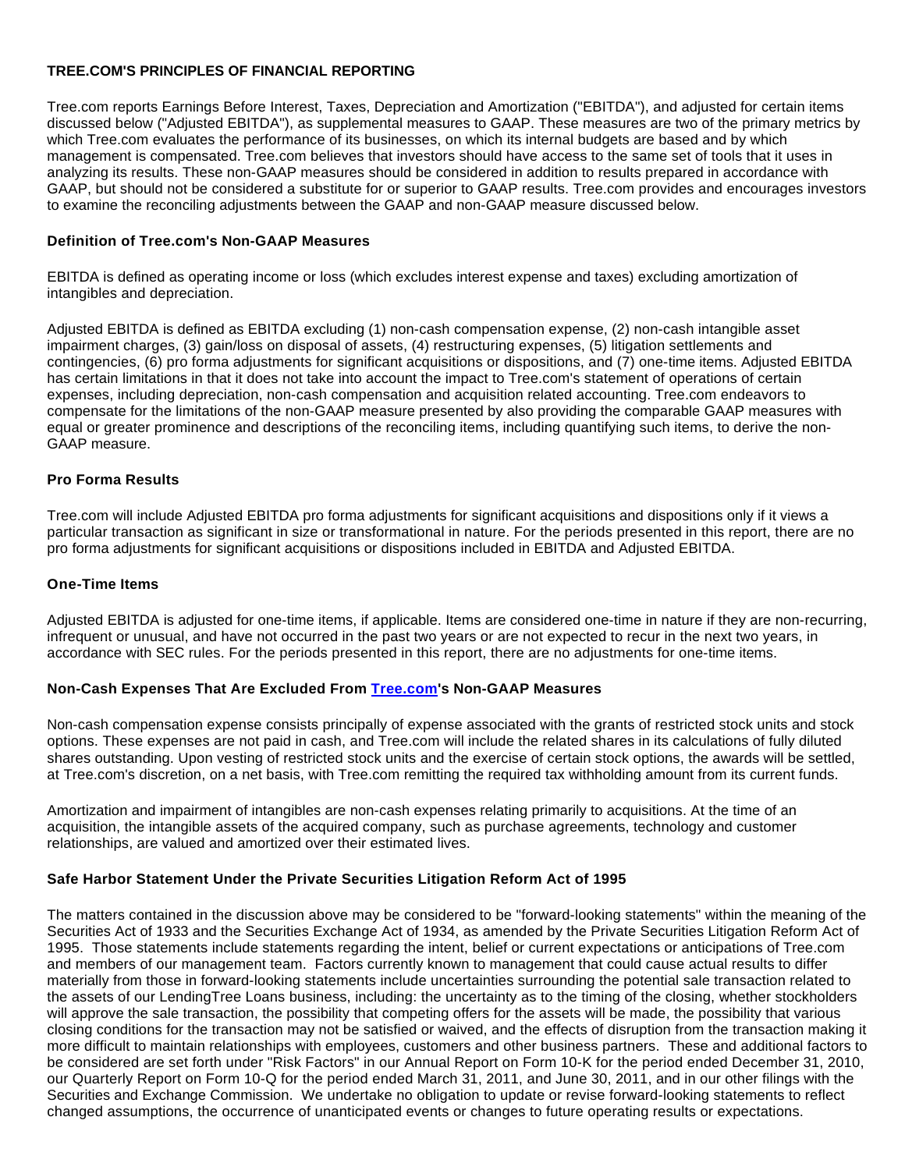### **TREE.COM'S PRINCIPLES OF FINANCIAL REPORTING**

Tree.com reports Earnings Before Interest, Taxes, Depreciation and Amortization ("EBITDA"), and adjusted for certain items discussed below ("Adjusted EBITDA"), as supplemental measures to GAAP. These measures are two of the primary metrics by which Tree.com evaluates the performance of its businesses, on which its internal budgets are based and by which management is compensated. Tree.com believes that investors should have access to the same set of tools that it uses in analyzing its results. These non-GAAP measures should be considered in addition to results prepared in accordance with GAAP, but should not be considered a substitute for or superior to GAAP results. Tree.com provides and encourages investors to examine the reconciling adjustments between the GAAP and non-GAAP measure discussed below.

### **Definition of Tree.com's Non-GAAP Measures**

EBITDA is defined as operating income or loss (which excludes interest expense and taxes) excluding amortization of intangibles and depreciation.

Adjusted EBITDA is defined as EBITDA excluding (1) non-cash compensation expense, (2) non-cash intangible asset impairment charges, (3) gain/loss on disposal of assets, (4) restructuring expenses, (5) litigation settlements and contingencies, (6) pro forma adjustments for significant acquisitions or dispositions, and (7) one-time items. Adjusted EBITDA has certain limitations in that it does not take into account the impact to Tree.com's statement of operations of certain expenses, including depreciation, non-cash compensation and acquisition related accounting. Tree.com endeavors to compensate for the limitations of the non-GAAP measure presented by also providing the comparable GAAP measures with equal or greater prominence and descriptions of the reconciling items, including quantifying such items, to derive the non-GAAP measure.

### **Pro Forma Results**

Tree.com will include Adjusted EBITDA pro forma adjustments for significant acquisitions and dispositions only if it views a particular transaction as significant in size or transformational in nature. For the periods presented in this report, there are no pro forma adjustments for significant acquisitions or dispositions included in EBITDA and Adjusted EBITDA.

### **One-Time Items**

Adjusted EBITDA is adjusted for one-time items, if applicable. Items are considered one-time in nature if they are non-recurring, infrequent or unusual, and have not occurred in the past two years or are not expected to recur in the next two years, in accordance with SEC rules. For the periods presented in this report, there are no adjustments for one-time items.

### **Non-Cash Expenses That Are Excluded From [Tree.com](http://tree.com/)'s Non-GAAP Measures**

Non-cash compensation expense consists principally of expense associated with the grants of restricted stock units and stock options. These expenses are not paid in cash, and Tree.com will include the related shares in its calculations of fully diluted shares outstanding. Upon vesting of restricted stock units and the exercise of certain stock options, the awards will be settled, at Tree.com's discretion, on a net basis, with Tree.com remitting the required tax withholding amount from its current funds.

Amortization and impairment of intangibles are non-cash expenses relating primarily to acquisitions. At the time of an acquisition, the intangible assets of the acquired company, such as purchase agreements, technology and customer relationships, are valued and amortized over their estimated lives.

### **Safe Harbor Statement Under the Private Securities Litigation Reform Act of 1995**

The matters contained in the discussion above may be considered to be "forward-looking statements" within the meaning of the Securities Act of 1933 and the Securities Exchange Act of 1934, as amended by the Private Securities Litigation Reform Act of 1995. Those statements include statements regarding the intent, belief or current expectations or anticipations of Tree.com and members of our management team. Factors currently known to management that could cause actual results to differ materially from those in forward-looking statements include uncertainties surrounding the potential sale transaction related to the assets of our LendingTree Loans business, including: the uncertainty as to the timing of the closing, whether stockholders will approve the sale transaction, the possibility that competing offers for the assets will be made, the possibility that various closing conditions for the transaction may not be satisfied or waived, and the effects of disruption from the transaction making it more difficult to maintain relationships with employees, customers and other business partners. These and additional factors to be considered are set forth under "Risk Factors" in our Annual Report on Form 10-K for the period ended December 31, 2010, our Quarterly Report on Form 10-Q for the period ended March 31, 2011, and June 30, 2011, and in our other filings with the Securities and Exchange Commission. We undertake no obligation to update or revise forward-looking statements to reflect changed assumptions, the occurrence of unanticipated events or changes to future operating results or expectations.